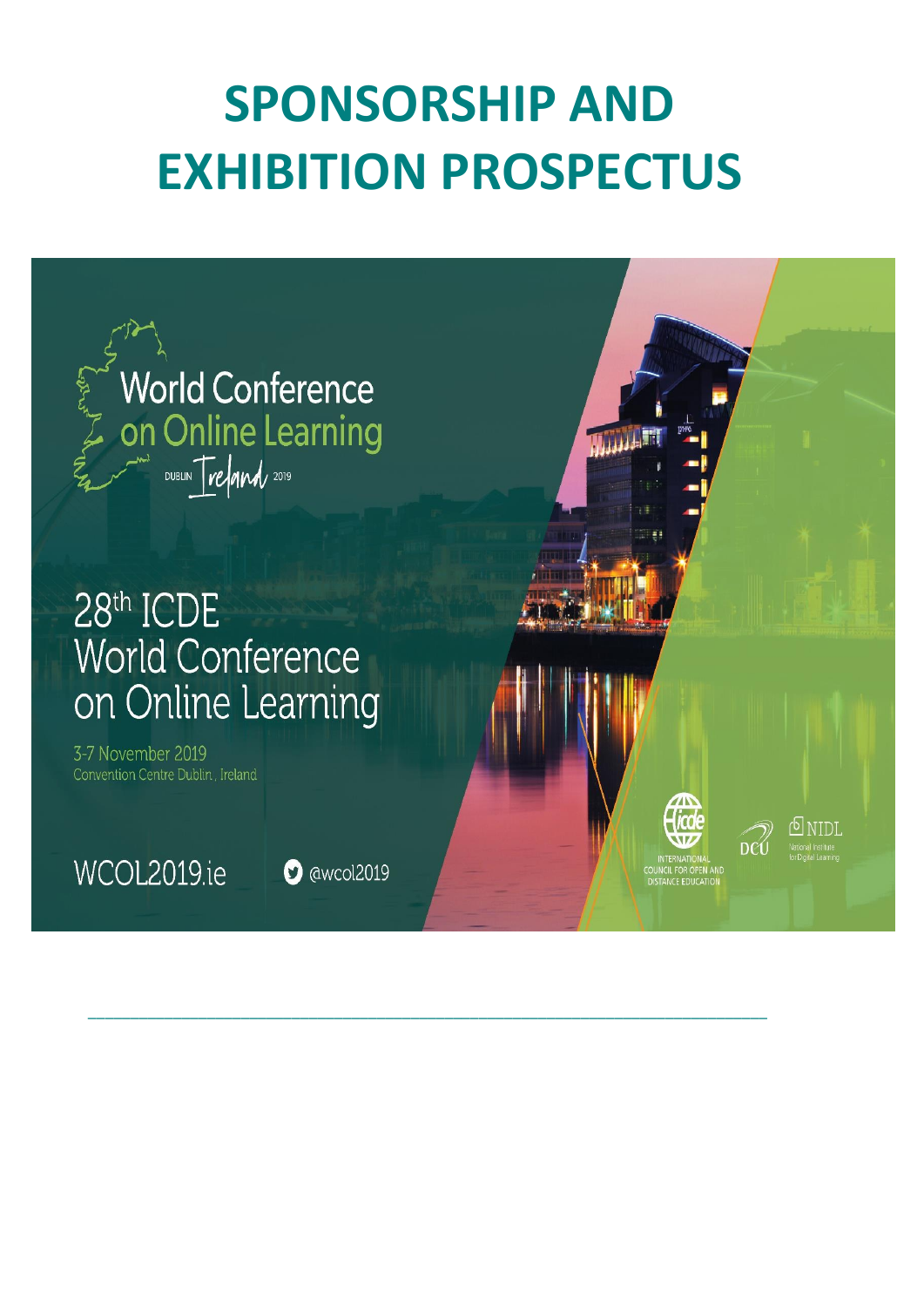# **SPONSORSHIP AND EXHIBITION PROSPECTUS**

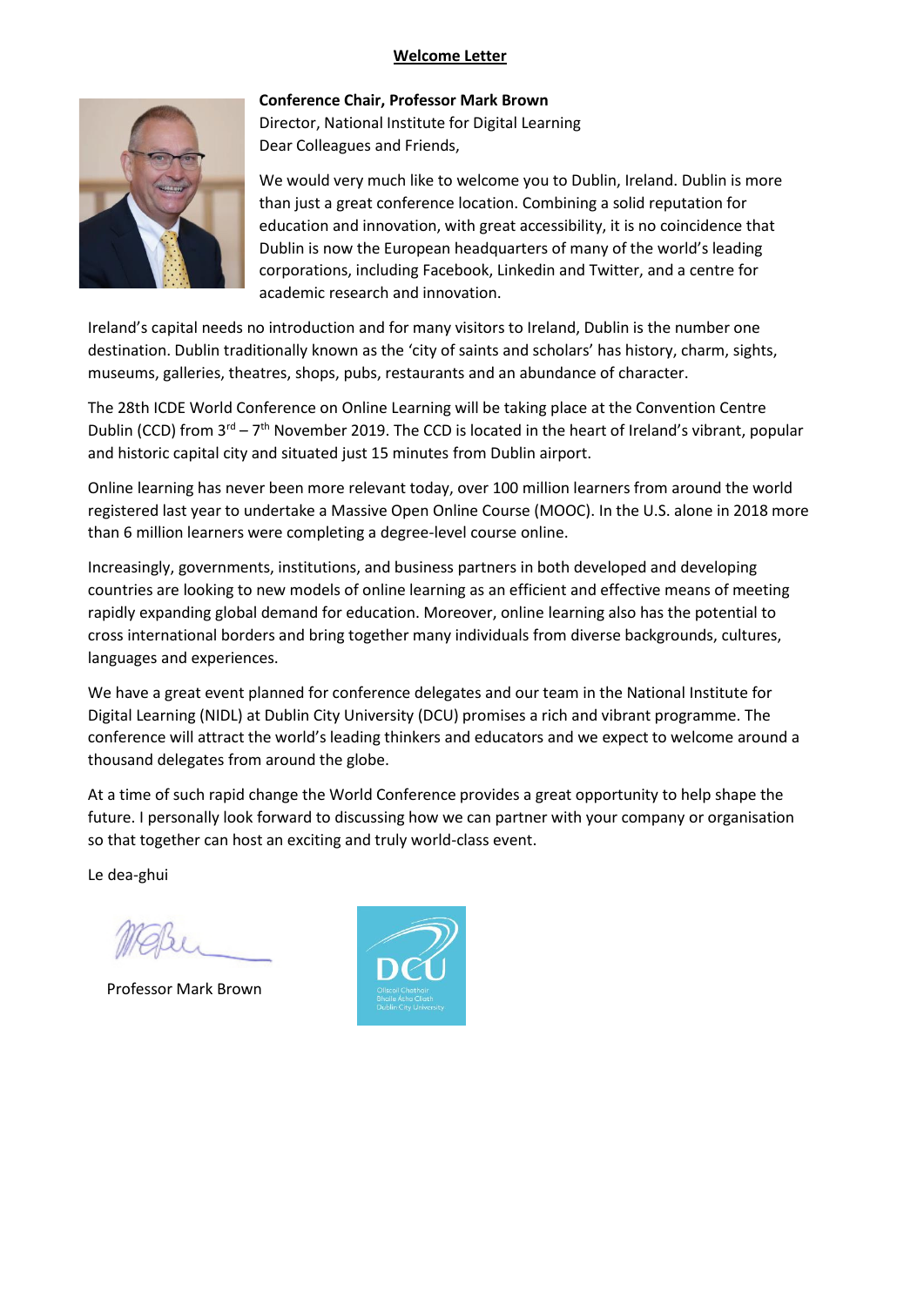#### **Welcome Letter**



**Conference Chair, Professor Mark Brown** Director, National Institute for Digital Learning Dear Colleagues and Friends,

We would very much like to welcome you to Dublin, Ireland. Dublin is more than just a great conference location. Combining a solid reputation for education and innovation, with great accessibility, it is no coincidence that Dublin is now the European headquarters of many of the world's leading corporations, including Facebook, Linkedin and Twitter, and a centre for academic research and innovation.

Ireland's capital needs no introduction and for many visitors to Ireland, Dublin is the number one destination. Dublin traditionally known as the 'city of saints and scholars' has history, charm, sights, museums, galleries, theatres, shops, pubs, restaurants and an abundance of character.

The 28th ICDE World Conference on Online Learning will be taking place at the Convention Centre Dublin (CCD) from  $3^{rd} - 7^{th}$  November 2019. The CCD is located in the heart of Ireland's vibrant, popular and historic capital city and situated just 15 minutes from Dublin airport.

Online learning has never been more relevant today, over 100 million learners from around the world registered last year to undertake a Massive Open Online Course (MOOC). In the U.S. alone in 2018 more than 6 million learners were completing a degree-level course online.

Increasingly, governments, institutions, and business partners in both developed and developing countries are looking to new models of online learning as an efficient and effective means of meeting rapidly expanding global demand for education. Moreover, online learning also has the potential to cross international borders and bring together many individuals from diverse backgrounds, cultures, languages and experiences.

We have a great event planned for conference delegates and our team in the National Institute for Digital Learning (NIDL) at Dublin City University (DCU) promises a rich and vibrant programme. The conference will attract the world's leading thinkers and educators and we expect to welcome around a thousand delegates from around the globe.

At a time of such rapid change the World Conference provides a great opportunity to help shape the future. I personally look forward to discussing how we can partner with your company or organisation so that together can host an exciting and truly world-class event.

Le dea-ghui

Professor Mark Brown

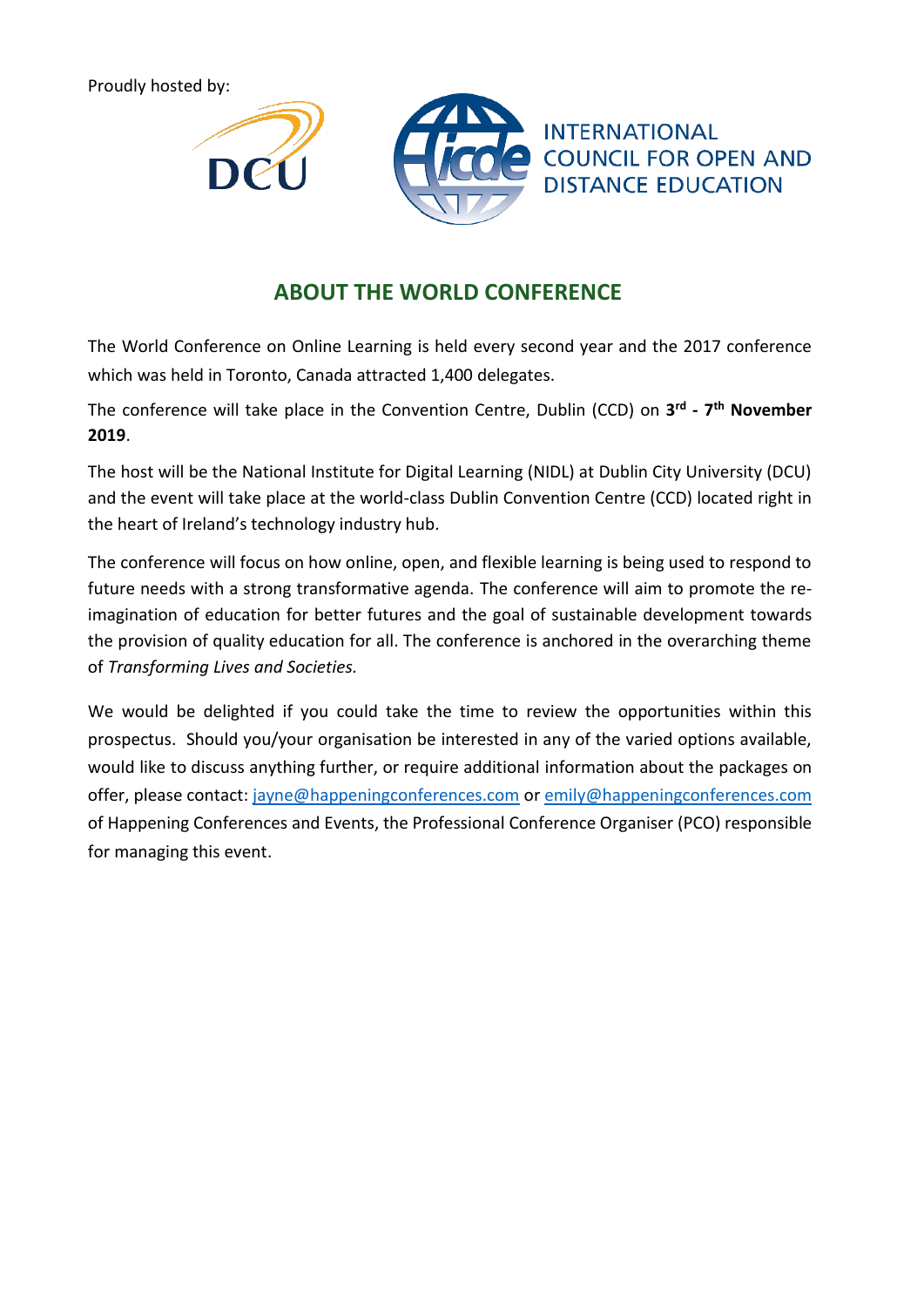Proudly hosted by:





**INTERNATIONAL COUNCIL FOR OPEN AND DISTANCE EDUCATION** 

# **ABOUT THE WORLD CONFERENCE**

The World Conference on Online Learning is held every second year and the 2017 conference which was held in Toronto, Canada attracted 1,400 delegates.

The conference will take place in the Convention Centre, Dublin (CCD) on **3 rd - 7 th November 2019**.

The host will be the National Institute for Digital Learning (NIDL) at Dublin City University (DCU) and the event will take place at the world-class Dublin Convention Centre (CCD) located right in the heart of Ireland's technology industry hub.

The conference will focus on how online, open, and flexible learning is being used to respond to future needs with a strong transformative agenda. The conference will aim to promote the reimagination of education for better futures and the goal of sustainable development towards the provision of quality education for all. The conference is anchored in the overarching theme of *Transforming Lives and Societies.*

We would be delighted if you could take the time to review the opportunities within this prospectus. Should you/your organisation be interested in any of the varied options available, would like to discuss anything further, or require additional information about the packages on offer, please contact: [jayne@happeningconferences.com](mailto:jayne@happeningconferences.com) or [emily@happeningconferences.com](mailto:emily@happeningconferences.com) of Happening Conferences and Events, the Professional Conference Organiser (PCO) responsible for managing this event.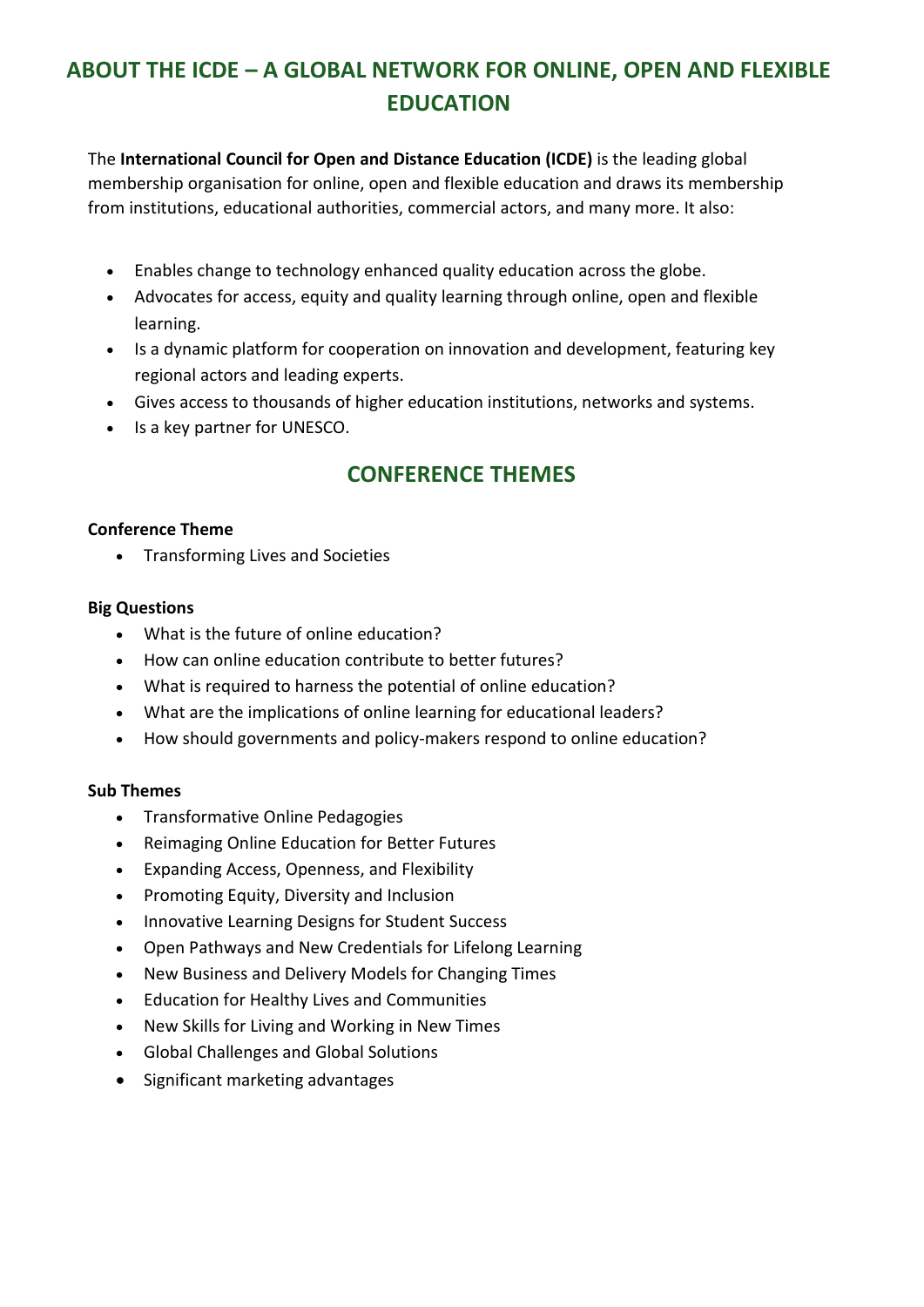# **ABOUT THE ICDE – A GLOBAL NETWORK FOR ONLINE, OPEN AND FLEXIBLE EDUCATION**

The **International Council for Open and Distance Education (ICDE)** is the leading global membership organisation for online, open and flexible education and draws its membership from institutions, educational authorities, commercial actors, and many more. It also:

- Enables change to technology enhanced quality education across the globe.
- Advocates for access, equity and quality learning through online, open and flexible learning.
- Is a dynamic platform for cooperation on innovation and development, featuring key regional actors and leading experts.
- Gives access to thousands of higher education institutions, networks and systems.
- Is a key partner for UNESCO.

# **CONFERENCE THEMES**

# **Conference Theme**

• Transforming Lives and Societies

# **Big Questions**

- What is the future of online education?
- How can online education contribute to better futures?
- What is required to harness the potential of online education?
- What are the implications of online learning for educational leaders?
- How should governments and policy-makers respond to online education?

# **Sub Themes**

- Transformative Online Pedagogies
- Reimaging Online Education for Better Futures
- Expanding Access, Openness, and Flexibility
- Promoting Equity, Diversity and Inclusion
- Innovative Learning Designs for Student Success
- Open Pathways and New Credentials for Lifelong Learning
- New Business and Delivery Models for Changing Times
- Education for Healthy Lives and Communities
- New Skills for Living and Working in New Times
- Global Challenges and Global Solutions
- Significant marketing advantages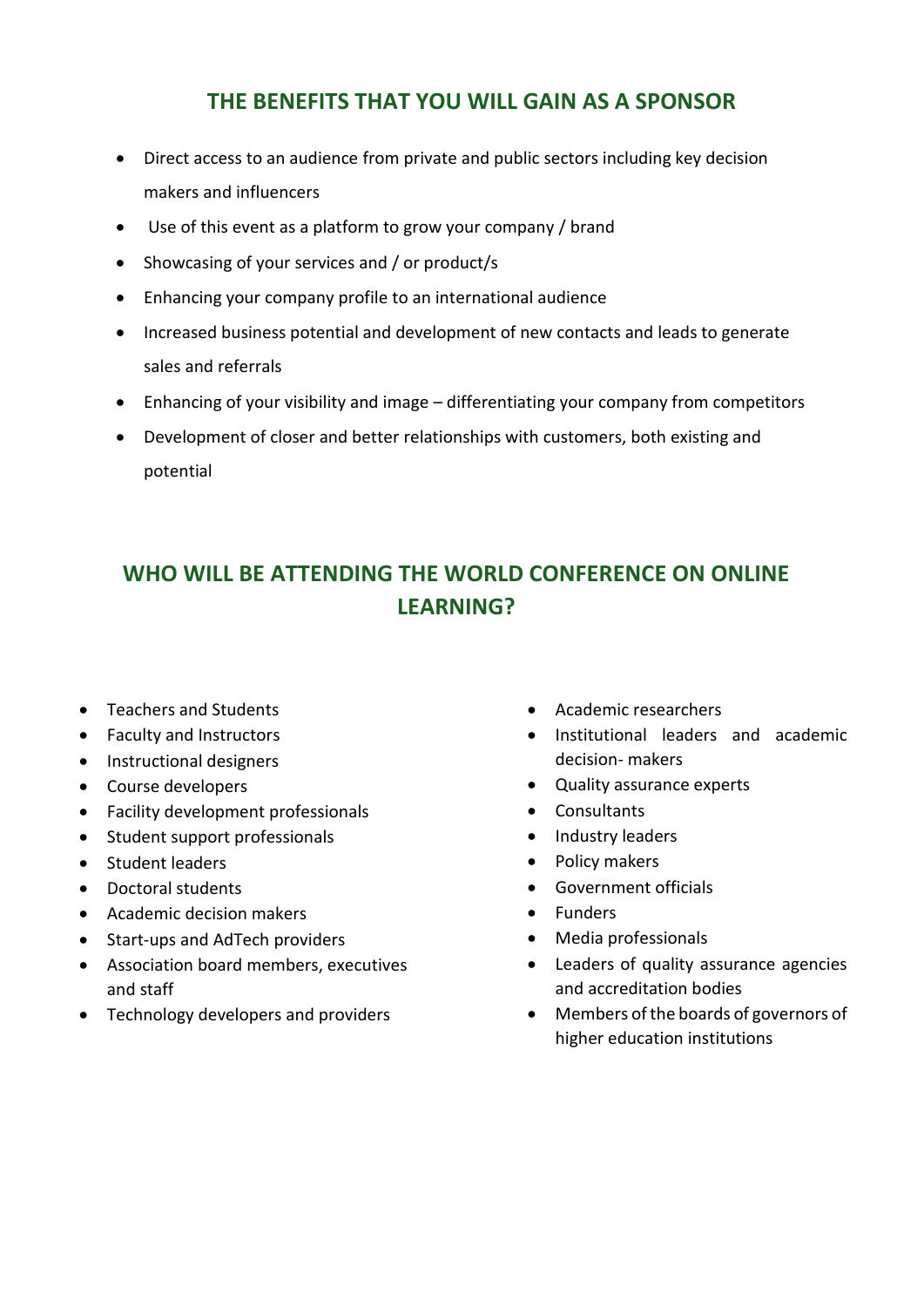# **THE BENEFITS THAT YOU WILL GAIN AS A SPONSOR**

- Direct access to an audience from private and public sectors including key decision makers and influencers
- Use of this event as a platform to grow your company / brand
- Showcasing of your services and / or product/s
- Enhancing your company profile to an international audience
- Increased business potential and development of new contacts and leads to generate sales and referrals
- Enhancing of your visibility and image differentiating your company from competitors
- Development of closer and better relationships with customers, both existing and potential

# **WHO WILL BE ATTENDING THE WORLD CONFERENCE ON ONLINE LEARNING?**

- Teachers and Students
- Faculty and Instructors
- Instructional designers
- Course developers
- Facility development professionals
- Student support professionals
- Student leaders
- Doctoral students
- Academic decision makers
- Start-ups and AdTech providers
- Association board members, executives and staff
- Technology developers and providers
- Academic researchers
- Institutional leaders and academic decision- makers
- Quality assurance experts
- Consultants
- Industry leaders
- Policy makers
- Government officials
- Funders
- Media professionals
- Leaders of quality assurance agencies and accreditation bodies
- Members of the boards of governors of higher education institutions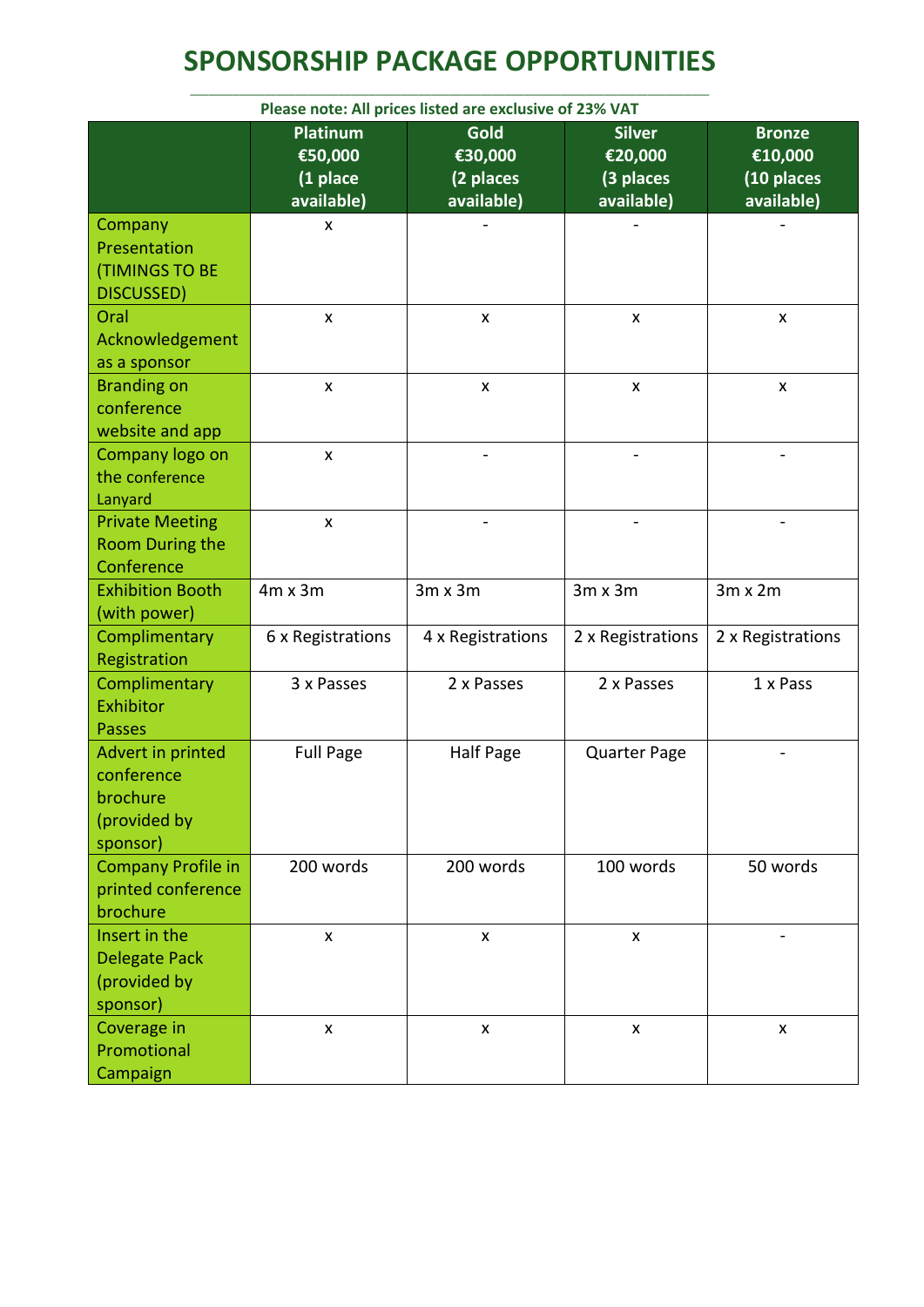# **SPONSORSHIP PACKAGE OPPORTUNITIES** \_\_\_\_\_\_\_\_\_\_\_\_\_\_\_\_\_\_\_\_\_\_\_\_\_\_\_\_\_\_\_\_\_\_\_\_\_\_\_\_\_\_\_\_\_\_\_\_\_\_\_\_\_\_\_\_\_\_\_\_\_\_\_\_\_\_\_\_\_\_\_\_\_\_\_\_\_\_\_\_\_\_\_\_

| Please note: All prices listed are exclusive of 23% VAT                 |                                                      |                                                   |                                                     |                                                      |  |
|-------------------------------------------------------------------------|------------------------------------------------------|---------------------------------------------------|-----------------------------------------------------|------------------------------------------------------|--|
|                                                                         | <b>Platinum</b><br>€50,000<br>(1 place<br>available) | <b>Gold</b><br>€30,000<br>(2 places<br>available) | <b>Silver</b><br>€20,000<br>(3 places<br>available) | <b>Bronze</b><br>€10,000<br>(10 places<br>available) |  |
| Company<br>Presentation<br><b>(TIMINGS TO BE</b><br>DISCUSSED)          | X                                                    |                                                   |                                                     |                                                      |  |
| Oral<br>Acknowledgement<br>as a sponsor                                 | X                                                    | X                                                 | X                                                   | X                                                    |  |
| <b>Branding on</b><br>conference<br>website and app                     | X                                                    | $\boldsymbol{\mathsf{x}}$                         | $\mathsf{x}$                                        | $\pmb{\mathsf{X}}$                                   |  |
| Company logo on<br>the conference<br>Lanyard                            | $\pmb{\times}$                                       |                                                   |                                                     |                                                      |  |
| <b>Private Meeting</b><br>Room During the<br>Conference                 | $\pmb{\mathsf{x}}$                                   |                                                   |                                                     |                                                      |  |
| <b>Exhibition Booth</b><br>(with power)                                 | $4m \times 3m$                                       | $3m \times 3m$                                    | $3m \times 3m$                                      | $3m \times 2m$                                       |  |
| Complimentary<br>Registration                                           | 6 x Registrations                                    | 4 x Registrations                                 | 2 x Registrations                                   | 2 x Registrations                                    |  |
| Complimentary<br>Exhibitor<br><b>Passes</b>                             | 3 x Passes                                           | 2 x Passes                                        | 2 x Passes                                          | 1 x Pass                                             |  |
| Advert in printed<br>conference<br>brochure<br>(provided by<br>sponsor) | <b>Full Page</b>                                     | <b>Half Page</b>                                  | <b>Quarter Page</b>                                 |                                                      |  |
| <b>Company Profile in</b><br>printed conference<br>brochure             | 200 words                                            | 200 words                                         | 100 words                                           | 50 words                                             |  |
| Insert in the<br>Delegate Pack<br>(provided by<br>sponsor)              | $\pmb{\mathsf{x}}$                                   | $\pmb{\times}$                                    | $\pmb{\mathsf{X}}$                                  | $\overline{\phantom{0}}$                             |  |
| Coverage in<br>Promotional<br>Campaign                                  | $\pmb{\times}$                                       | $\pmb{\times}$                                    | $\pmb{\times}$                                      | $\pmb{\times}$                                       |  |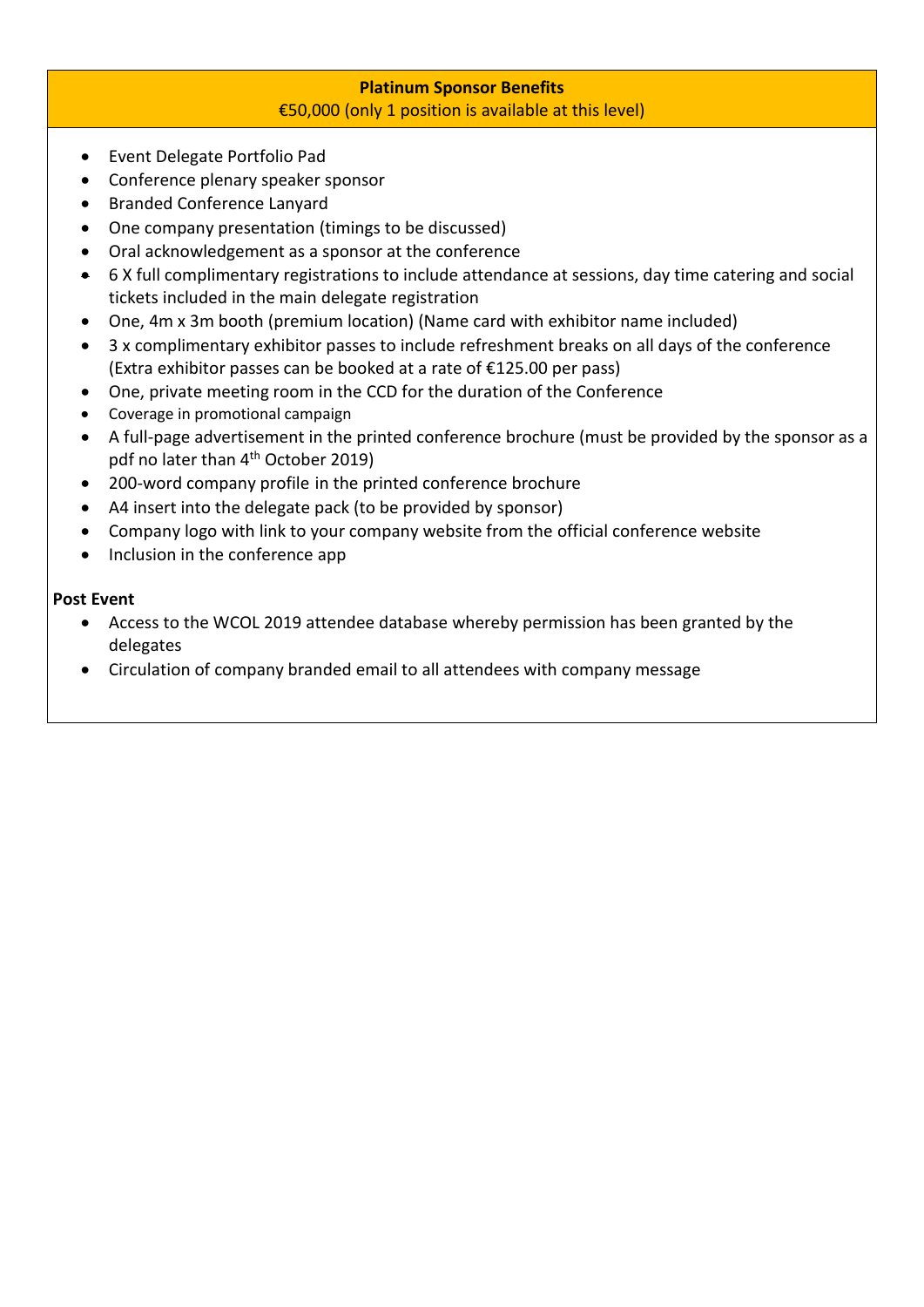# **Platinum Sponsor Benefits** €50,000 (only 1 position is available at this level)

- Event Delegate Portfolio Pad
- Conference plenary speaker sponsor
- Branded Conference Lanyard
- One company presentation (timings to be discussed)
- Oral acknowledgement as a sponsor at the conference
- 6 X full complimentary registrations to include attendance at sessions, day time catering and social tickets included in the main delegate registration
- One, 4m x 3m booth (premium location) (Name card with exhibitor name included)
- 3 x complimentary exhibitor passes to include refreshment breaks on all days of the conference (Extra exhibitor passes can be booked at a rate of €125.00 per pass)
- One, private meeting room in the CCD for the duration of the Conference
- Coverage in promotional campaign
- A full-page advertisement in the printed conference brochure (must be provided by the sponsor as a pdf no later than 4<sup>th</sup> October 2019)
- 200-word company profile in the printed conference brochure
- A4 insert into the delegate pack (to be provided by sponsor)
- Company logo with link to your company website from the official conference website
- Inclusion in the conference app

# **Post Event**

- Access to the WCOL 2019 attendee database whereby permission has been granted by the delegates
- Circulation of company branded email to all attendees with company message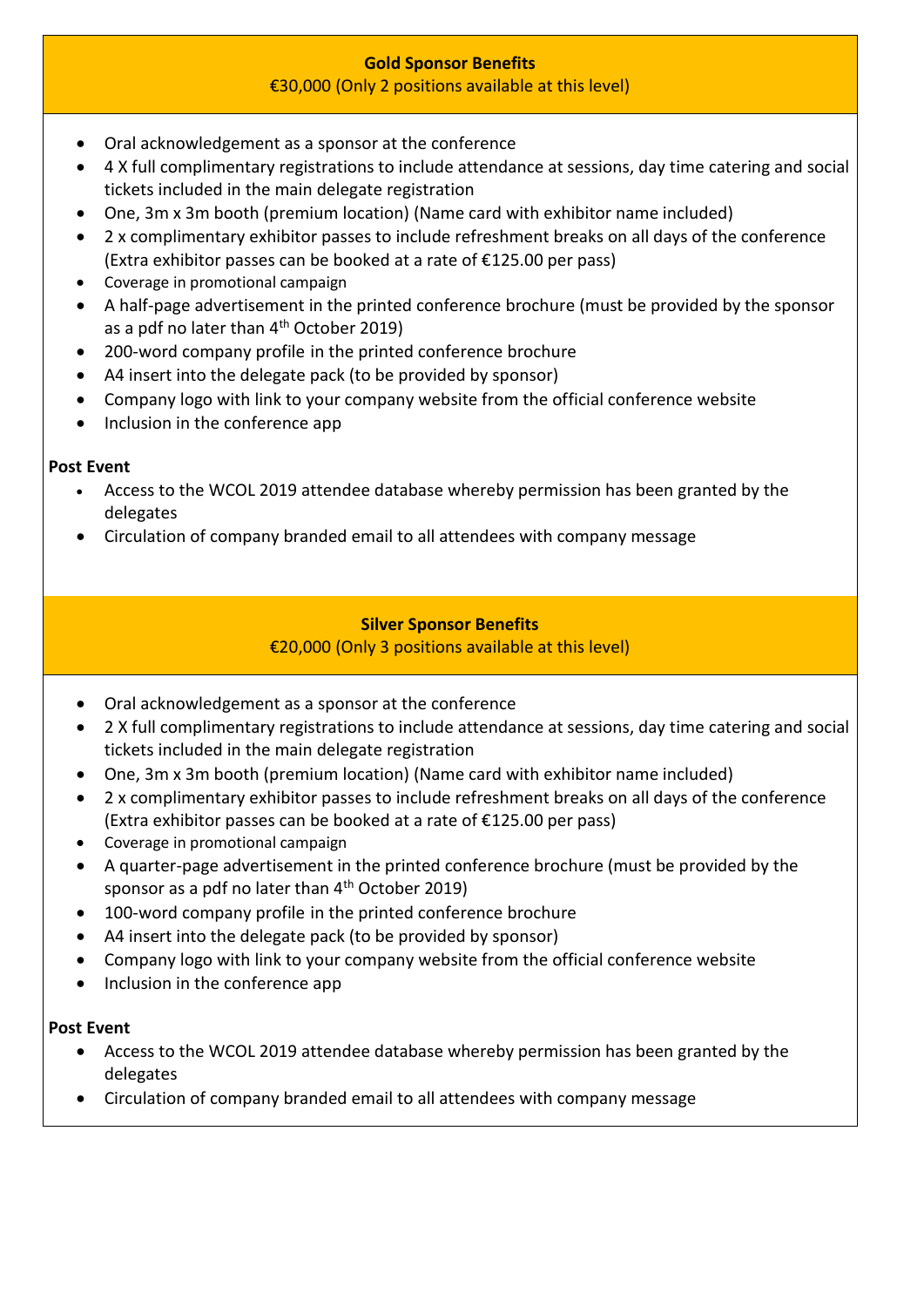# **Gold Sponsor Benefits**

# €30,000 (Only 2 positions available at this level)

- Oral acknowledgement as a sponsor at the conference
- 4 X full complimentary registrations to include attendance at sessions, day time catering and social tickets included in the main delegate registration
- One, 3m x 3m booth (premium location) (Name card with exhibitor name included)
- 2 x complimentary exhibitor passes to include refreshment breaks on all days of the conference (Extra exhibitor passes can be booked at a rate of €125.00 per pass)
- Coverage in promotional campaign
- A half-page advertisement in the printed conference brochure (must be provided by the sponsor as a pdf no later than  $4<sup>th</sup>$  October 2019)
- 200-word company profile in the printed conference brochure
- A4 insert into the delegate pack (to be provided by sponsor)
- Company logo with link to your company website from the official conference website
- Inclusion in the conference app

# **Post Event**

- Access to the WCOL 2019 attendee database whereby permission has been granted by the delegates
- Circulation of company branded email to all attendees with company message

# **Silver Sponsor Benefits**

# €20,000 (Only 3 positions available at this level)

- Oral acknowledgement as a sponsor at the conference
- 2 X full complimentary registrations to include attendance at sessions, day time catering and social tickets included in the main delegate registration
- One, 3m x 3m booth (premium location) (Name card with exhibitor name included)
- 2 x complimentary exhibitor passes to include refreshment breaks on all days of the conference (Extra exhibitor passes can be booked at a rate of €125.00 per pass)
- Coverage in promotional campaign
- A quarter-page advertisement in the printed conference brochure (must be provided by the sponsor as a pdf no later than  $4<sup>th</sup>$  October 2019)
- 100-word company profile in the printed conference brochure
- A4 insert into the delegate pack (to be provided by sponsor)
- Company logo with link to your company website from the official conference website
- Inclusion in the conference app

# **Post Event**

- Access to the WCOL 2019 attendee database whereby permission has been granted by the delegates
- Circulation of company branded email to all attendees with company message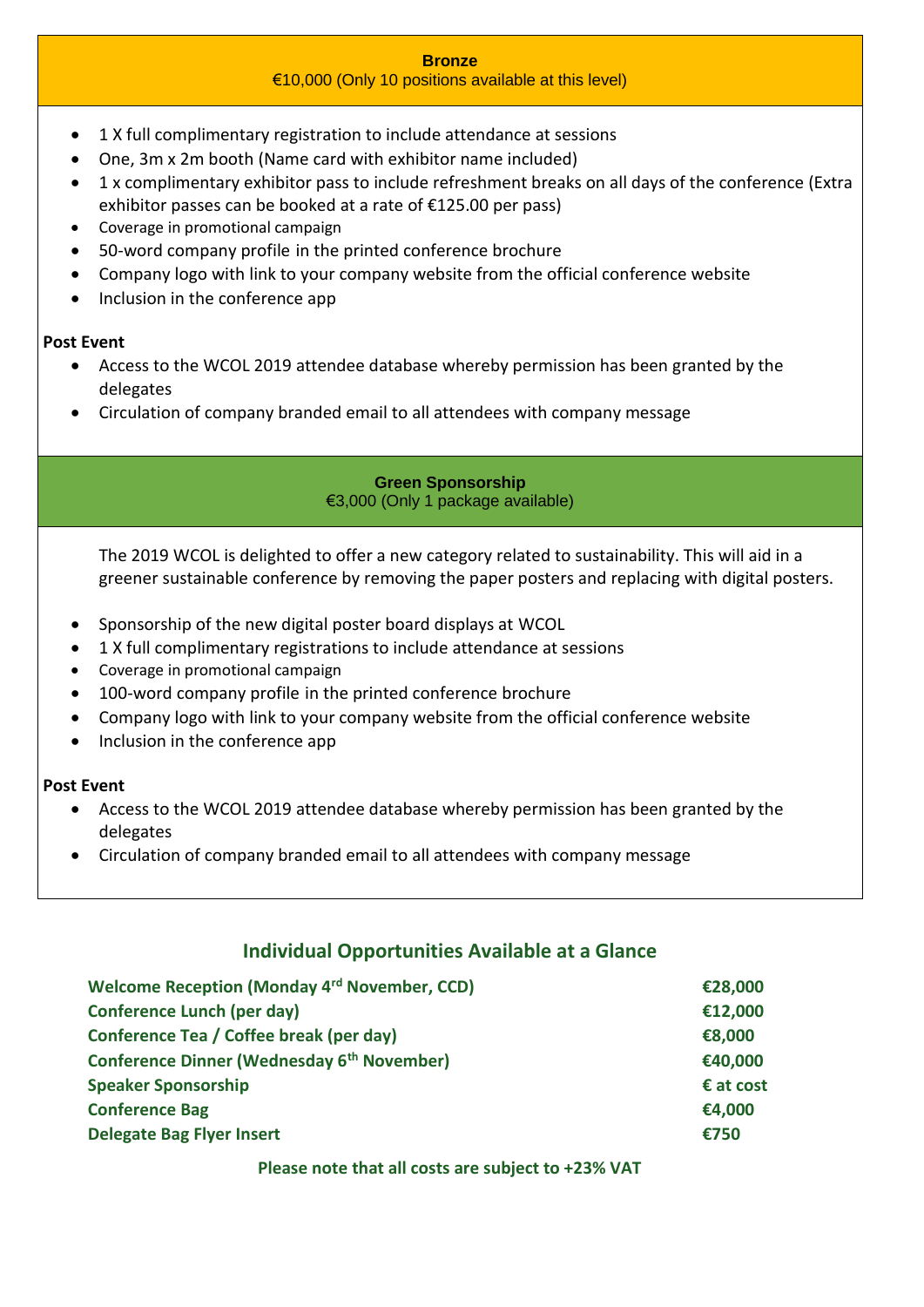# **Bronze**

# €10,000 (Only 10 positions available at this level)

- 1 X full complimentary registration to include attendance at sessions
- One, 3m x 2m booth (Name card with exhibitor name included)
- 1 x complimentary exhibitor pass to include refreshment breaks on all days of the conference (Extra exhibitor passes can be booked at a rate of €125.00 per pass)
- Coverage in promotional campaign
- 50-word company profile in the printed conference brochure
- Company logo with link to your company website from the official conference website
- Inclusion in the conference app

# **Post Event**

- Access to the WCOL 2019 attendee database whereby permission has been granted by the delegates
- Circulation of company branded email to all attendees with company message

## **Green Sponsorship** €3,000 (Only 1 package available)

The 2019 WCOL is delighted to offer a new category related to sustainability. This will aid in a greener sustainable conference by removing the paper posters and replacing with digital posters.

- Sponsorship of the new digital poster board displays at WCOL
- 1 X full complimentary registrations to include attendance at sessions
- Coverage in promotional campaign
- 100-word company profile in the printed conference brochure
- Company logo with link to your company website from the official conference website
- Inclusion in the conference app

# **Post Event**

- Access to the WCOL 2019 attendee database whereby permission has been granted by the delegates
- Circulation of company branded email to all attendees with company message

# **Individual Opportunities Available at a Glance**

| Welcome Reception (Monday 4rd November, CCD)           | €28,000   |
|--------------------------------------------------------|-----------|
| <b>Conference Lunch (per day)</b>                      | €12,000   |
| Conference Tea / Coffee break (per day)                | €8,000    |
| Conference Dinner (Wednesday 6 <sup>th</sup> November) | €40,000   |
| <b>Speaker Sponsorship</b>                             | € at cost |
| <b>Conference Bag</b>                                  | €4,000    |
| <b>Delegate Bag Flyer Insert</b>                       | €750      |

## **Please note that all costs are subject to +23% VAT**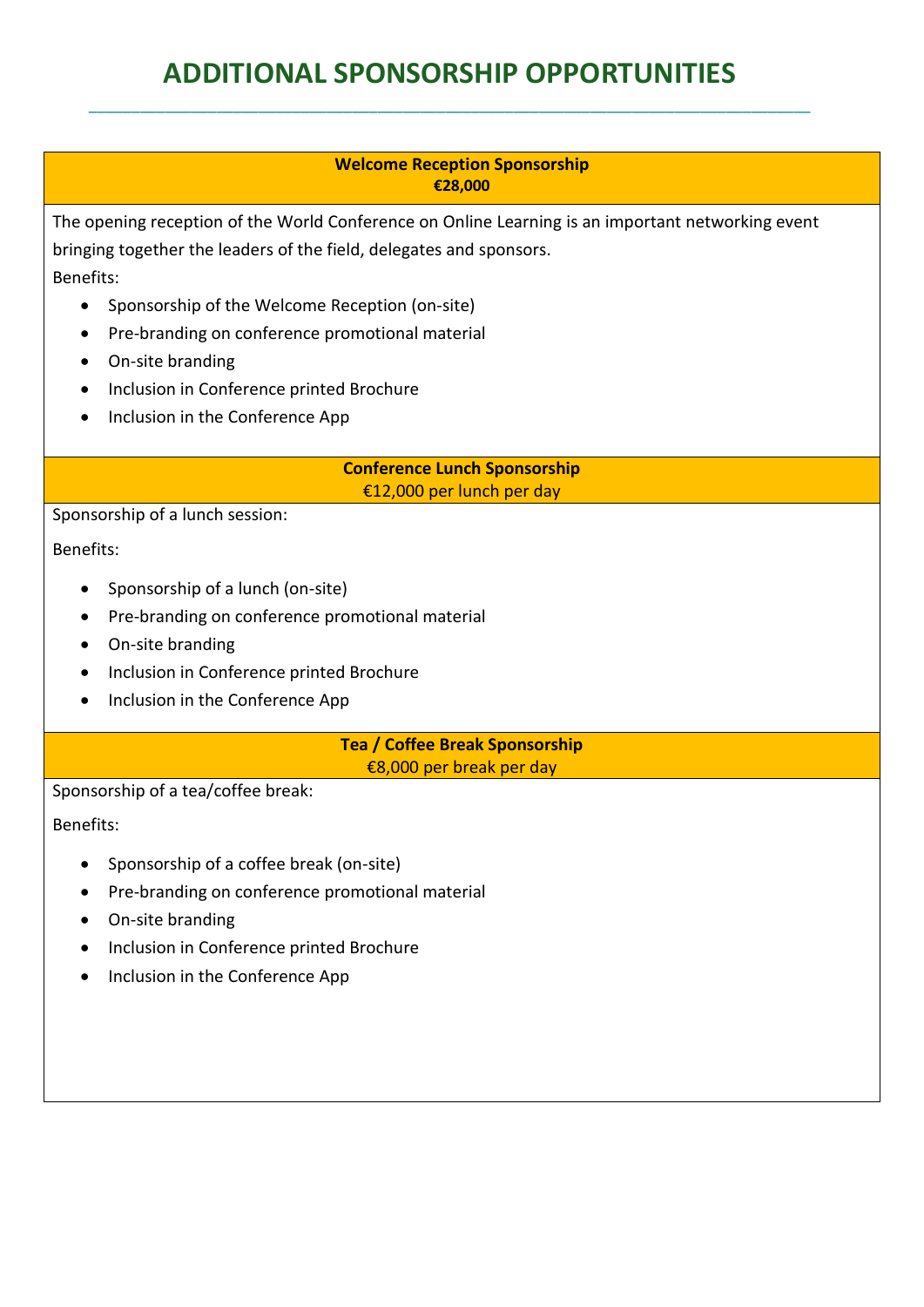# **ADDITIONAL SPONSORSHIP OPPORTUNITIES**

\_\_\_\_\_\_\_\_\_\_\_\_\_\_\_\_\_\_\_\_\_\_\_\_\_\_\_\_\_\_\_\_\_\_\_\_\_\_\_\_\_\_\_\_\_\_\_\_\_\_\_\_\_\_\_\_\_\_\_\_\_\_\_\_\_\_\_\_\_\_\_\_\_\_\_\_\_\_\_\_\_\_\_\_\_

# **Welcome Reception Sponsorship €28,000**

The opening reception of the World Conference on Online Learning is an important networking event bringing together the leaders of the field, delegates and sponsors. Benefits:

- Sponsorship of the Welcome Reception (on-site)
- Pre-branding on conference promotional material
- On-site branding
- Inclusion in Conference printed Brochure
- Inclusion in the Conference App

**Conference Lunch Sponsorship** €12,000 per lunch per day

Sponsorship of a lunch session:

Benefits:

- Sponsorship of a lunch (on-site)
- Pre-branding on conference promotional material
- On-site branding
- Inclusion in Conference printed Brochure
- Inclusion in the Conference App

**Tea / Coffee Break Sponsorship** €8,000 per break per day

Sponsorship of a tea/coffee break:

Benefits:

- Sponsorship of a coffee break (on-site)
- Pre-branding on conference promotional material
- On-site branding
- Inclusion in Conference printed Brochure
- Inclusion in the Conference App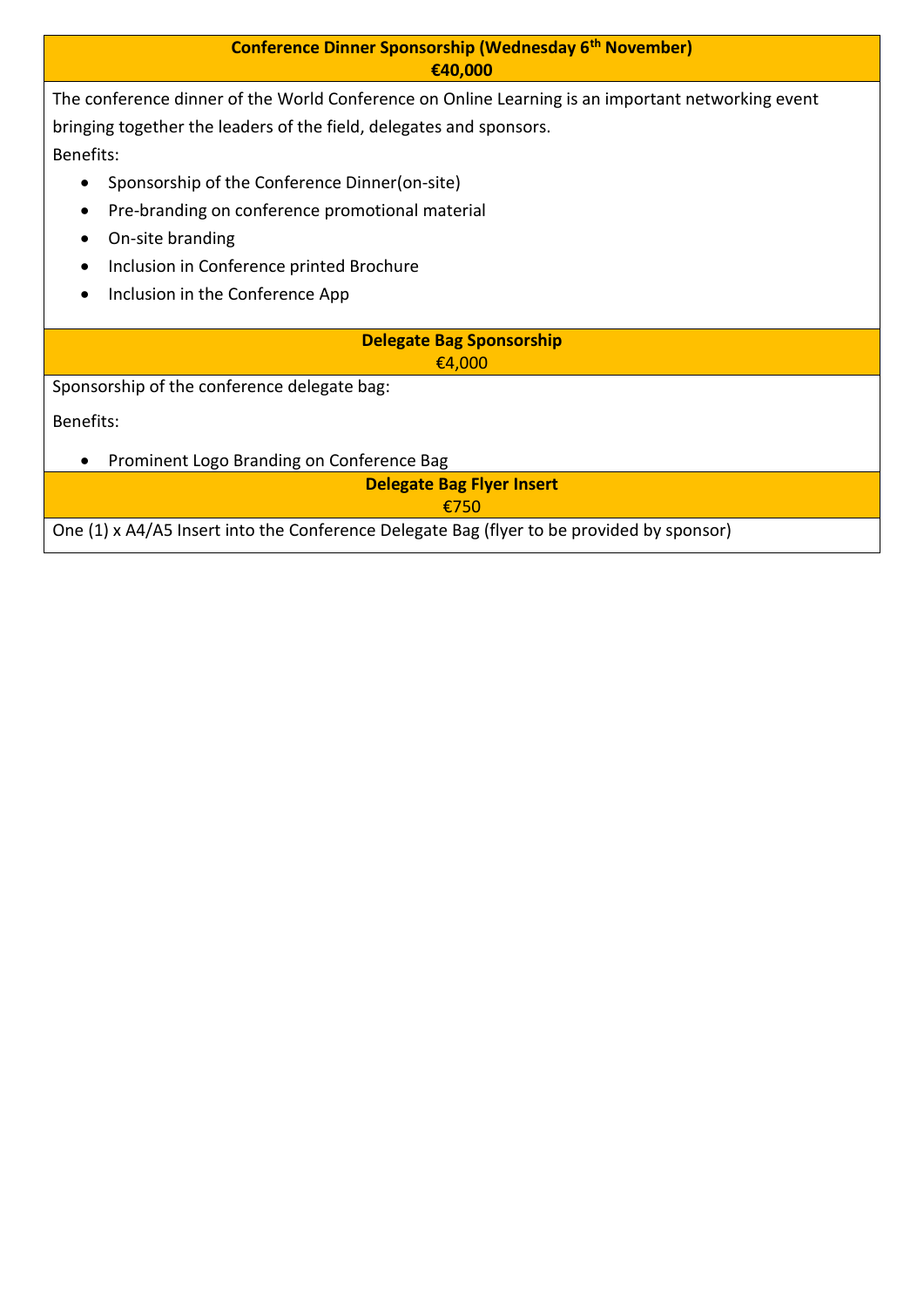| <b>Conference Dinner Sponsorship (Wednesday 6th November)</b>                                     |  |  |  |
|---------------------------------------------------------------------------------------------------|--|--|--|
| €40,000                                                                                           |  |  |  |
| The conference dinner of the World Conference on Online Learning is an important networking event |  |  |  |
| bringing together the leaders of the field, delegates and sponsors.                               |  |  |  |
| <b>Benefits:</b>                                                                                  |  |  |  |
| Sponsorship of the Conference Dinner(on-site)<br>$\bullet$                                        |  |  |  |
| Pre-branding on conference promotional material<br>$\bullet$                                      |  |  |  |
| On-site branding                                                                                  |  |  |  |
| Inclusion in Conference printed Brochure                                                          |  |  |  |
| Inclusion in the Conference App<br>$\bullet$                                                      |  |  |  |
|                                                                                                   |  |  |  |
| <b>Delegate Bag Sponsorship</b><br>€4,000                                                         |  |  |  |
| Sponsorship of the conference delegate bag:                                                       |  |  |  |
| <b>Benefits:</b>                                                                                  |  |  |  |
|                                                                                                   |  |  |  |
| Prominent Logo Branding on Conference Bag                                                         |  |  |  |
| <b>Delegate Bag Flyer Insert</b>                                                                  |  |  |  |
| €750                                                                                              |  |  |  |
| One (1) x A4/A5 Insert into the Conference Delegate Bag (flyer to be provided by sponsor)         |  |  |  |